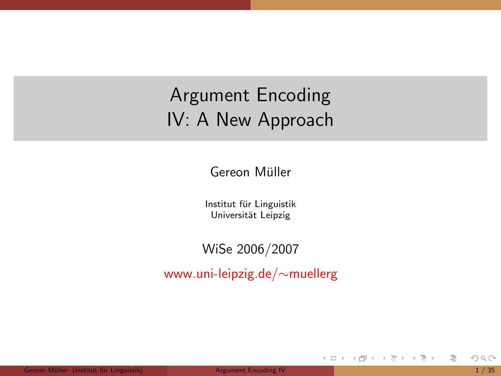# Argument Encoding IV: A New Approach

Gereon Müller

Institut für Linguistik Universität Leipzig

### WiSe 2006/2007

www.uni-leipzig.de/∼muellerg

<span id="page-0-0"></span>E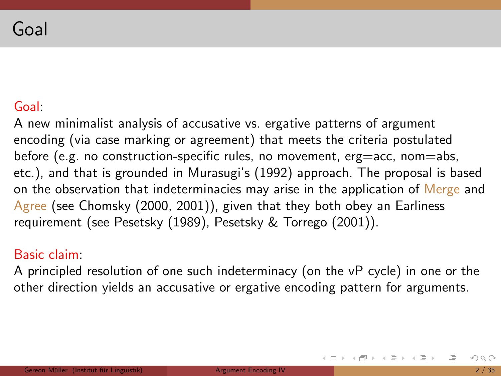### Goal:

A new minimalist analysis of accusative vs. ergative patterns of argument encoding (via case marking or agreement) that meets the criteria postulated before (e.g. no construction-specific rules, no movement, erg=acc, nom=abs, etc.), and that is grounded in Murasugi's (1992) approach. The proposal is based on the observation that indeterminacies may arise in the application of Merge and Agree (see Chomsky (2000, 2001)), given that they both obey an Earliness requirement (see Pesetsky (1989), Pesetsky & Torrego (2001)).

#### Basic claim:

A principled resolution of one such indeterminacy (on the vP cycle) in one or the other direction yields an accusative or ergative encoding pattern for arguments.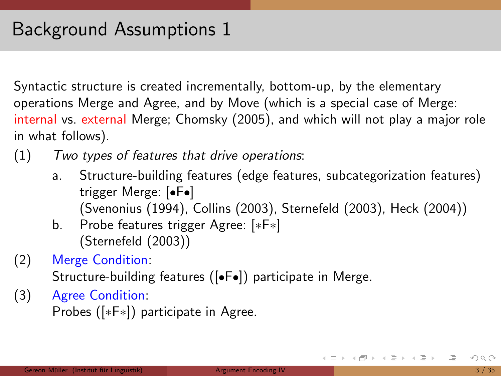Syntactic structure is created incrementally, bottom-up, by the elementary operations Merge and Agree, and by Move (which is a special case of Merge: internal vs. external Merge; Chomsky (2005), and which will not play a major role in what follows).

- (1) Two types of features that drive operations:
	- a. Structure-building features (edge features, subcategorization features) trigger Merge: [•F•] (Svenonius (1994), Collins (2003), Sternefeld (2003), Heck (2004))
	- b. Probe features trigger Agree: [∗F∗] (Sternefeld (2003))
- (2) Merge Condition:

Structure-building features ([•F•]) participate in Merge.

(3) Agree Condition: Probes ([∗F∗]) participate in Agree.

K ロ > K @ > K 경 > K 경 > H 경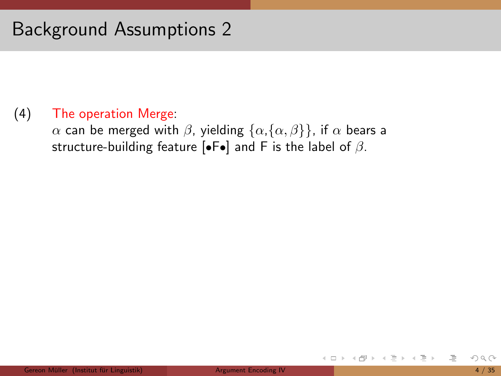### (4) The operation Merge:

 $\alpha$  can be merged with  $\beta$ , yielding  $\{\alpha,\{\alpha,\beta\}\}\,$ , if  $\alpha$  bears a structure-building feature  $\left[\bullet\right]$  and F is the label of  $\beta$ .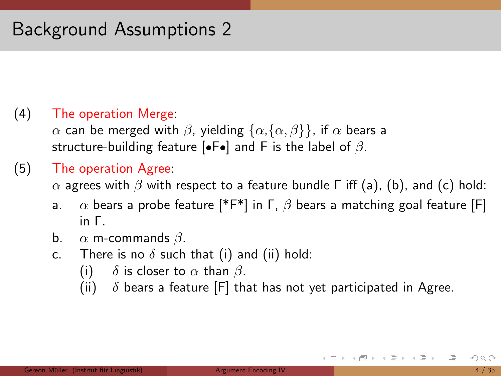### (4) The operation Merge:

 $\alpha$  can be merged with  $\beta$ , yielding  $\{\alpha,\{\alpha,\beta\}\}\,$ , if  $\alpha$  bears a structure-building feature [ $\bullet$ F $\bullet$ ] and F is the label of  $\beta$ .

### (5) The operation Agree:

 $\alpha$  agrees with  $\beta$  with respect to a feature bundle  $\Gamma$  iff (a), (b), and (c) hold:

- a.  $\alpha$  bears a probe feature [\*F\*] in  $\Gamma$ ,  $\beta$  bears a matching goal feature [F] in Γ.
- b.  $\alpha$  m-commands  $\beta$ .
- c. There is no  $\delta$  such that (i) and (ii) hold:
	- (i)  $\delta$  is closer to  $\alpha$  than  $\beta$ .
	- (ii)  $\delta$  bears a feature [F] that has not yet participated in Agree.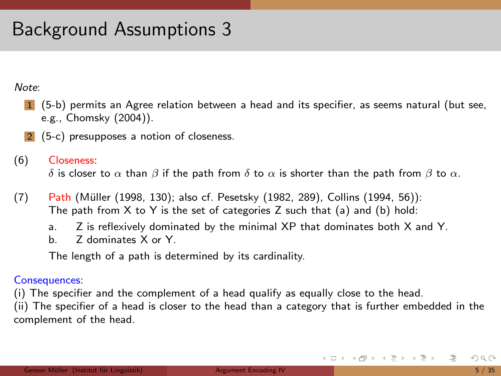Note:

- 1 (5-b) permits an Agree relation between a head and its specifier, as seems natural (but see, e.g., Chomsky (2004)).
- 2 (5-c) presupposes a notion of closeness.
- (6) Closeness:

δ is closer to  $\alpha$  than  $\beta$  if the path from δ to  $\alpha$  is shorter than the path from  $\beta$  to  $\alpha$ .

- (7) Path (Müller (1998, 130); also cf. Pesetsky (1982, 289), Collins (1994, 56)): The path from  $X$  to  $Y$  is the set of categories  $Z$  such that (a) and (b) hold:
	- a. Z is reflexively dominated by the minimal XP that dominates both X and Y.
	- b. Z dominates X or Y.

The length of a path is determined by its cardinality.

#### Consequences:

(i) The specifier and the complement of a head qualify as equally close to the head.

(ii) The specifier of a head is closer to the head than a category that is further embedded in the complement of the head.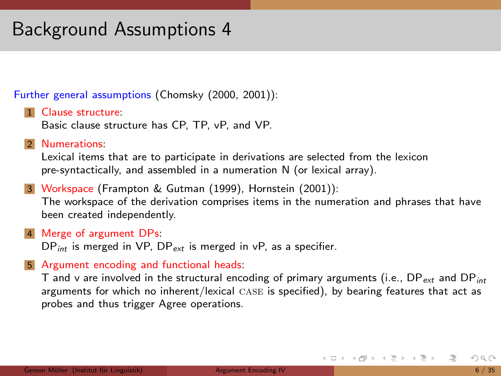Further general assumptions (Chomsky (2000, 2001)):

1 Clause structure: Basic clause structure has CP, TP, vP, and VP.

Numerations:

Lexical items that are to participate in derivations are selected from the lexicon pre-syntactically, and assembled in a numeration N (or lexical array).

- 3 Workspace (Frampton & Gutman (1999), Hornstein (2001)): The workspace of the derivation comprises items in the numeration and phrases that have been created independently.
- 4 Merge of argument DPs:  $DP_{int}$  is merged in VP,  $DP_{ext}$  is merged in vP, as a specifier.
- 5 Argument encoding and functional heads:

T and v are involved in the structural encoding of primary arguments (i.e.,  $DP_{ext}$  and  $DP_{int}$ arguments for which no inherent/lexical case is specified), by bearing features that act as probes and thus trigger Agree operations.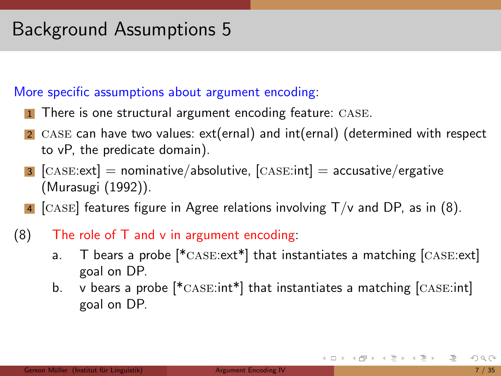### More specific assumptions about argument encoding:

- 1 There is one structural argument encoding feature: CASE.
- 2 CASE can have two values:  $ext(ernal)$  and  $int(ernal)$  (determined with respect to vP, the predicate domain).
- **3**  $[CASE:ext] = nominative/absoluteive, [CASE:int] = accurate/negative$ (Murasugi (1992)).
- 4 [CASE] features figure in Agree relations involving  $T/v$  and DP, as in (8).
- $(8)$  The role of T and v in argument encoding:
	- a. T bears a probe  $[*{\text{CASE:ext}}]$  that instantiates a matching  $[{\text{CASE:ext}}]$ goal on DP.
	- b. v bears a probe  $[*.$   $\text{Case:}$  that instantiates a matching  $[$   $\text{Case:}$  int  $]$ goal on DP.

K ロ > K (ラ > K ミ > K ミ > … ミ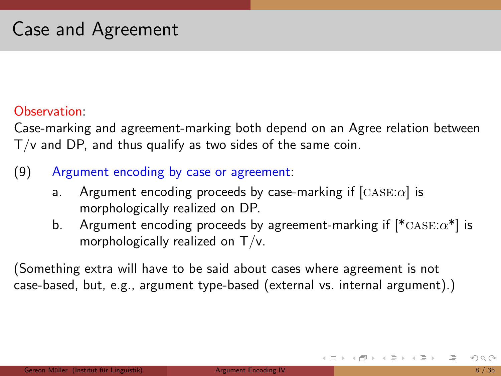### Observation:

Case-marking and agreement-marking both depend on an Agree relation between T/v and DP, and thus qualify as two sides of the same coin.

### (9) Argument encoding by case or agreement:

- a. Argument encoding proceeds by case-marking if  $[CASE:\alpha]$  is morphologically realized on DP.
- b. Argument encoding proceeds by agreement-marking if  $[{}^*\text{CASE:}\alpha^*]$  is morphologically realized on T/v.

(Something extra will have to be said about cases where agreement is not case-based, but, e.g., argument type-based (external vs. internal argument).)

K ロ > K @ > K 경 > K 경 > H 경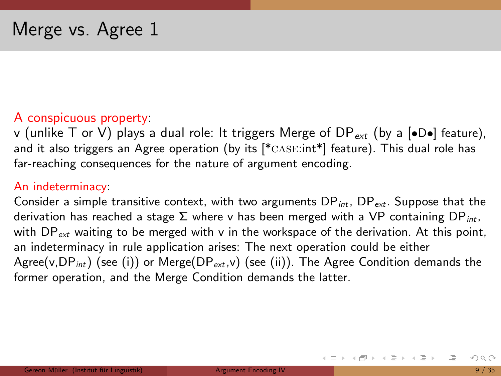### A conspicuous property:

v (unlike T or V) plays a dual role: It triggers Merge of DP<sub>ext</sub> (by a  $\bullet$ D $\bullet$ ) feature), and it also triggers an Agree operation (by its  $[*/c_1s_2]$  feature). This dual role has far-reaching consequences for the nature of argument encoding.

#### An indeterminacy:

Consider a simple transitive context, with two arguments  $DP_{int}$ ,  $DP_{ext}$ . Suppose that the derivation has reached a stage  $\Sigma$  where v has been merged with a VP containing DP<sub>int</sub>. with  $DP_{ext}$  waiting to be merged with v in the workspace of the derivation. At this point, an indeterminacy in rule application arises: The next operation could be either Agree(v,  $DP_{int}$ ) (see (i)) or Merge( $DP_{ext}$ , v) (see (ii)). The Agree Condition demands the former operation, and the Merge Condition demands the latter.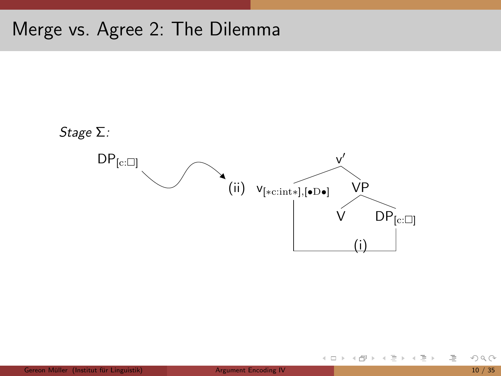## Merge vs. Agree 2: The Dilemma



 $OQ$ 

目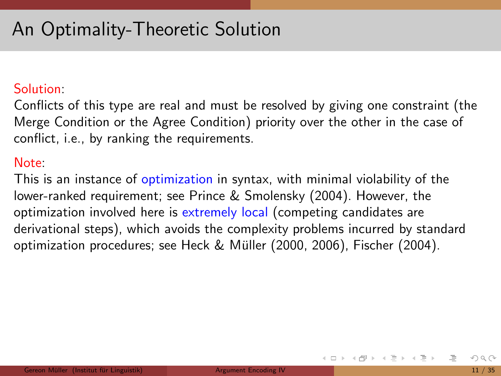# An Optimality-Theoretic Solution

### Solution:

Conflicts of this type are real and must be resolved by giving one constraint (the Merge Condition or the Agree Condition) priority over the other in the case of conflict, i.e., by ranking the requirements.

### Note:

This is an instance of optimization in syntax, with minimal violability of the lower-ranked requirement; see Prince & Smolensky (2004). However, the optimization involved here is extremely local (competing candidates are derivational steps), which avoids the complexity problems incurred by standard optimization procedures; see Heck & Müller (2000, 2006), Fischer (2004).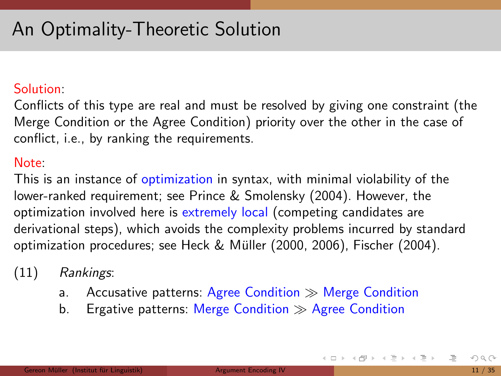# An Optimality-Theoretic Solution

### Solution:

Conflicts of this type are real and must be resolved by giving one constraint (the Merge Condition or the Agree Condition) priority over the other in the case of conflict, i.e., by ranking the requirements.

### Note:

This is an instance of optimization in syntax, with minimal violability of the lower-ranked requirement; see Prince & Smolensky (2004). However, the optimization involved here is extremely local (competing candidates are derivational steps), which avoids the complexity problems incurred by standard optimization procedures; see Heck & Müller (2000, 2006), Fischer (2004).

- (11) Rankings:
	- a. Accusative patterns: Agree Condition  $\gg$  Merge Condition
	- b. Ergative patterns: Merge Condition  $\gg$  Agree Condition

K ロ > K @ > K 경 > K 경 > H 경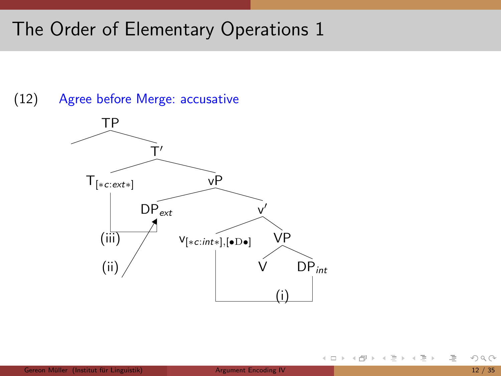(12) Agree before Merge: accusative



目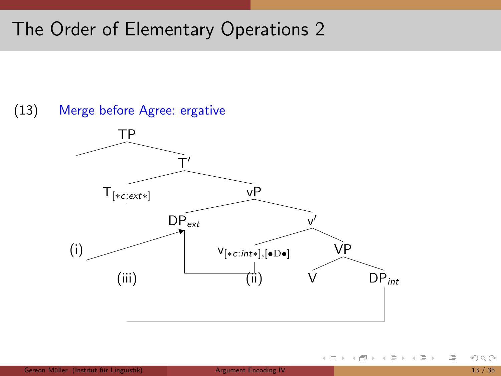

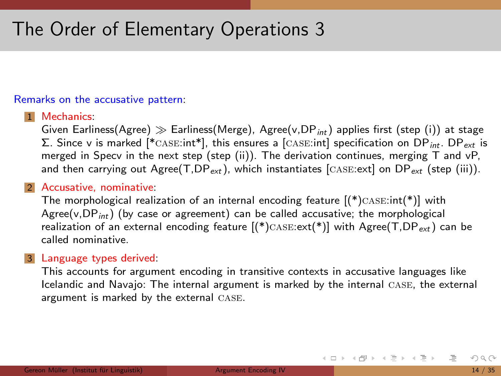#### Remarks on the accusative pattern:

#### 1 Mechanics:

Given Earliness(Agree)  $\gg$  Earliness(Merge), Agree(v, DP<sub>int</sub>) applies first (step (i)) at stage  $\Sigma$ . Since v is marked [\*CASE:int\*], this ensures a [CASE:int] specification on DP<sub>int</sub>. DP<sub>ext</sub> is merged in Specv in the next step (step (ii)). The derivation continues, merging T and vP, and then carrying out Agree(T,DP<sub>ext</sub>), which instantiates [CASE:ext] on DP<sub>ext</sub> (step (iii)).

#### 2 Accusative, nominative:

The morphological realization of an internal encoding feature  $[(*)$ CASE:int $(*)]$  with Agree(v,  $DP_{int}$ ) (by case or agreement) can be called accusative; the morphological realization of an external encoding feature  $[(*)$ CASE: $ext(*)]$  with Agree(T,DP<sub>ext</sub>) can be called nominative.

#### 3 Language types derived:

This accounts for argument encoding in transitive contexts in accusative languages like Icelandic and Navajo: The internal argument is marked by the internal case, the external argument is marked by the external case.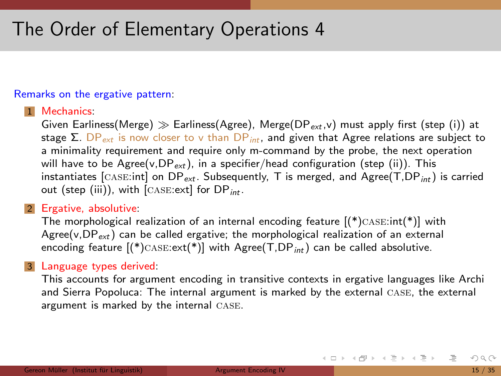#### Remarks on the ergative pattern:

#### 1 Mechanics:

Given Earliness(Merge)  $\gg$  Earliness(Agree), Merge(DP<sub>ext,</sub>v) must apply first (step (i)) at stage  $\Sigma$ . DP<sub>ext</sub> is now closer to v than DP<sub>int</sub>, and given that Agree relations are subject to a minimality requirement and require only m-command by the probe, the next operation will have to be Agree(v,  $DP_{ext}$ ), in a specifier/head configuration (step (ii)). This instantiates  $[CASE:int]$  on  $DP_{ext}$ . Subsequently, T is merged, and  $Agree(T, DP_{int})$  is carried out (step (iii)), with  $[CASE:ext]$  for  $DP_{int}$ .

#### 2 Ergative, absolutive:

The morphological realization of an internal encoding feature  $[(*)$ CASE:int $(*)]$  with Agree(v,  $DP_{ext}$ ) can be called ergative; the morphological realization of an external encoding feature  $[(*)$ CASE: $ext(*)]$  with Agree $(T,DP_{int})$  can be called absolutive.

#### 3 Language types derived:

This accounts for argument encoding in transitive contexts in ergative languages like Archi and Sierra Popoluca: The internal argument is marked by the external CASE, the external argument is marked by the internal case.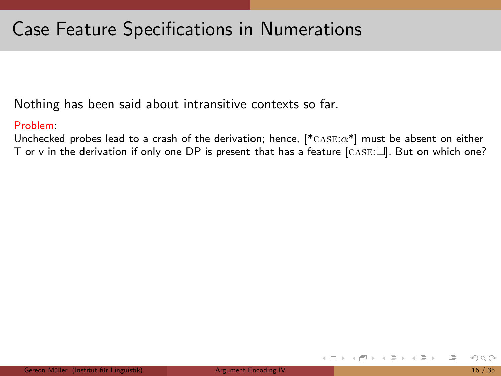Nothing has been said about intransitive contexts so far.

#### Problem:

Unchecked probes lead to a crash of the derivation; hence,  $[^{*}$ CASE: $\alpha^{*}]$  must be absent on either T or v in the derivation if only one DP is present that has a feature  $[CASE:]]$ . But on which one?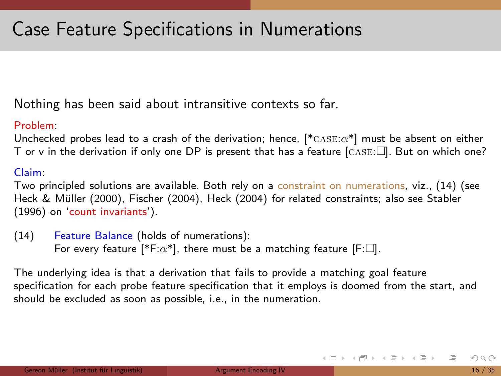Nothing has been said about intransitive contexts so far.

#### Problem:

Unchecked probes lead to a crash of the derivation; hence,  $[^{*}$ CASE: $\alpha^{*}]$  must be absent on either T or v in the derivation if only one DP is present that has a feature  $[CASE:]]$ . But on which one?

#### Claim:

Two principled solutions are available. Both rely on a constraint on numerations, viz., (14) (see Heck & Müller (2000), Fischer (2004), Heck (2004) for related constraints; also see Stabler (1996) on 'count invariants').

(14) Feature Balance (holds of numerations): For every feature [\*F: $\alpha$ \*], there must be a matching feature [F: $\square$ ].

The underlying idea is that a derivation that fails to provide a matching goal feature specification for each probe feature specification that it employs is doomed from the start, and should be excluded as soon as possible, i.e., in the numeration.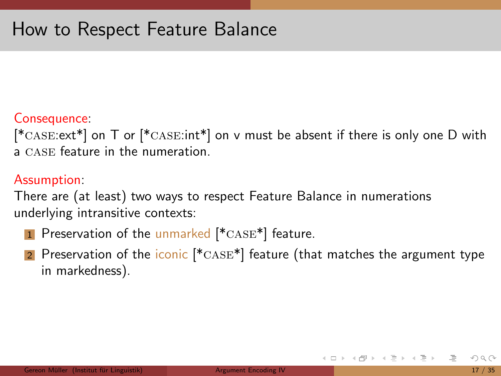### Consequence:

 $[*{\text{case:ext}}^*]$  on T or  $[*{\text{case:int}}^*]$  on v must be absent if there is only one D with a case feature in the numeration.

### Assumption:

There are (at least) two ways to respect Feature Balance in numerations underlying intransitive contexts:

- **1** Preservation of the unmarked  $*{\text{case}}*$  feature.
- 2 Preservation of the iconic  $[{}^* \text{CASE*}]$  feature (that matches the argument type in markedness).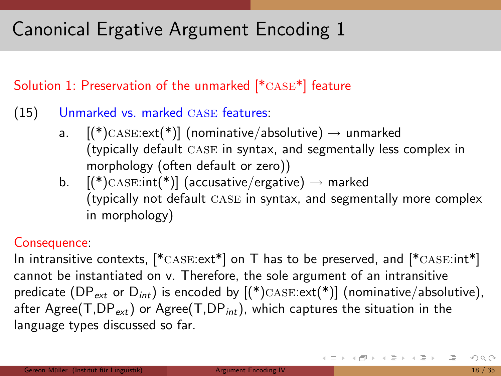# Canonical Ergative Argument Encoding 1

Solution 1: Preservation of the unmarked [\*case\*] feature

- (15) Unmarked vs. marked case features:
	- a.  $[(*)\text{CASE}:\text{ext}(*)]$  (nominative/absolutive)  $\rightarrow$  unmarked (typically default case in syntax, and segmentally less complex in morphology (often default or zero))
	- b.  $[(*)$ CASE:int(\*)] (accusative/ergative)  $\rightarrow$  marked (typically not default case in syntax, and segmentally more complex in morphology)

### Consequence:

In intransitive contexts,  $[*/\text{CASE:ext*}]$  on T has to be preserved, and  $[*/\text{CASE:int*}]$ cannot be instantiated on v. Therefore, the sole argument of an intransitive predicate (DP<sub>ext</sub> or D<sub>int</sub>) is encoded by  $[(*)$ CASE:ext(\*)] (nominative/absolutive), after Agree(T,DP<sub>ext</sub>) or Agree(T,DP<sub>int</sub>), which captures the situation in the language types discussed so far.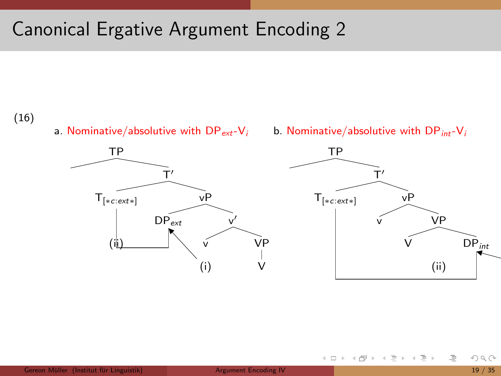## Canonical Ergative Argument Encoding 2

#### (16)

a. Nominative/absolutive with  $DP_{ext}-V_i$ 





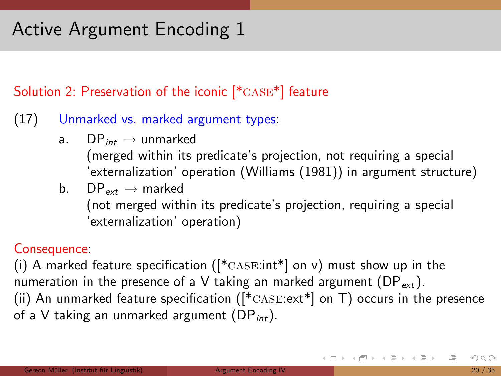### Solution 2: Preservation of the iconic [\*case\*] feature

### (17) Unmarked vs. marked argument types:

- a.  $DP_{int} \rightarrow$  unmarked (merged within its predicate's projection, not requiring a special 'externalization' operation (Williams (1981)) in argument structure)
- b.  $DP_{ext} \rightarrow$  marked (not merged within its predicate's projection, requiring a special 'externalization' operation)

### Consequence:

(i) A marked feature specification ( $[{}^*$ CASE:int<sup>\*</sup>] on v) must show up in the numeration in the presence of a V taking an marked argument ( $DP_{ext}$ ). (ii) An unmarked feature specification ( $[^*$ CASE: $ext*$ ] on T) occurs in the presence of a V taking an unmarked argument  $(DP_{int})$ .

K ロ > K @ > K 경 > K 경 > 시 경 +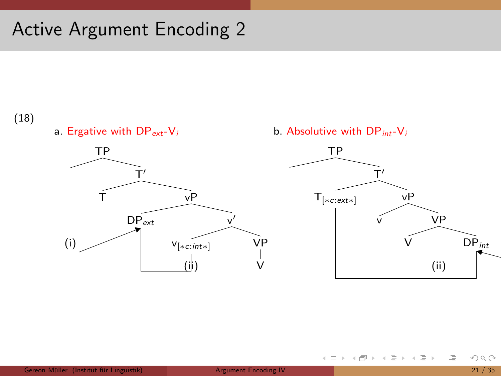

a. Ergative with  $DP_{ext}-V_i$ 







イロト イ部 トイモト イモト

注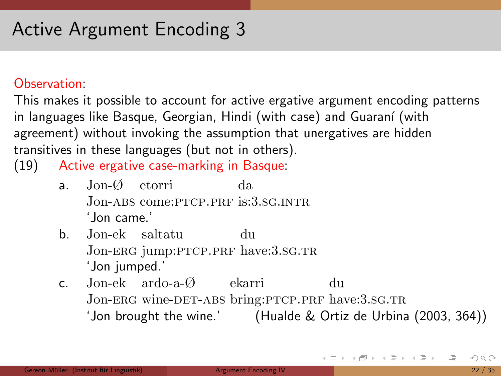#### Observation:

This makes it possible to account for active ergative argument encoding patterns in languages like Basque, Georgian, Hindi (with case) and Guaraní (with agreement) without invoking the assumption that unergatives are hidden transitives in these languages (but not in others).

(19) Active ergative case-marking in Basque:

- a. Jon-Ø etorri Jon-ABS come: PTCP.PRF is: 3.SG.INTR da 'Jon came.'
- b. Jon-ek saltatu Jon-ERG jump:PTCP.PRF have:3.SG.TR du 'Jon jumped.'
- c. Jon-ek ardo-a-Ø ekarri Jon-ERG wine-DET-ABS bring:PTCP.PRF have:3.SG.TR du 'Jon brought the wine.' (Hualde & Ortiz de Urbina (2003, 364))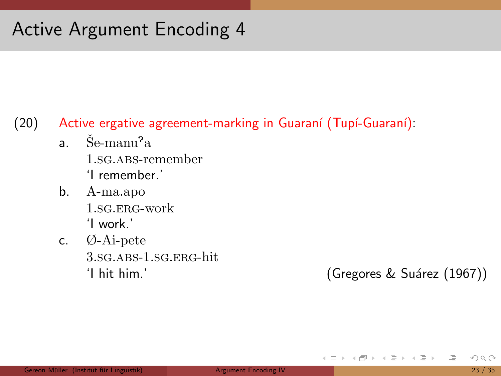### $(20)$  Active ergative agreement-marking in Guaraní (Tupí-Guaraní):

- $\mathrm{a.} \quad \mathrm{\v{Se-man}} \mathrm{u}^3\mathrm{a}$ 1.sg.abs-remember 'I remember.'
- b. A-ma.apo 1.sg.erg-work 'I work.'
- c. Ø-Ai-pete 3.sg. ABS-1.sg.EBG-hit.

'I hit him.' (Gregores & Suárez (1967))

イロト イ団ト イモト イモトー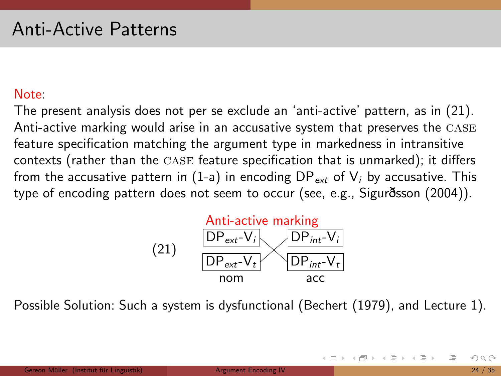### Note:

The present analysis does not per se exclude an 'anti-active' pattern, as in (21). Anti-active marking would arise in an accusative system that preserves the case feature specification matching the argument type in markedness in intransitive contexts (rather than the case feature specification that is unmarked); it differs from the accusative pattern in (1-a) in encoding  $DP_{ext}$  of  $V_i$  by accusative. This type of encoding pattern does not seem to occur (see, e.g., Sigur sson (2004)).



Possible Solution: Such a system is dysfunctional (Bechert (1979), and Lecture 1).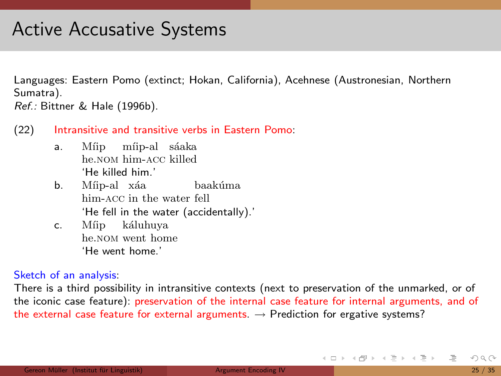### Active Accusative Systems

Languages: Eastern Pomo (extinct; Hokan, California), Acehnese (Austronesian, Northern Sumatra).

Ref.: Bittner & Hale (1996b).

- (22) Intransitive and transitive verbs in Eastern Pomo:
	- a. Míip míip-al sáaka he.nom him-acc killed 'He killed him.'
	- b. Míip-al xáa him-acc in the water fell baakúma 'He fell in the water (accidentally).'
	- c. Míip káluhuya he.nom went home 'He went home.'

#### Sketch of an analysis:

There is a third possibility in intransitive contexts (next to preservation of the unmarked, or of the iconic case feature): preservation of the internal case feature for internal arguments, and of the external case feature for external arguments.  $\rightarrow$  Prediction for ergative systems?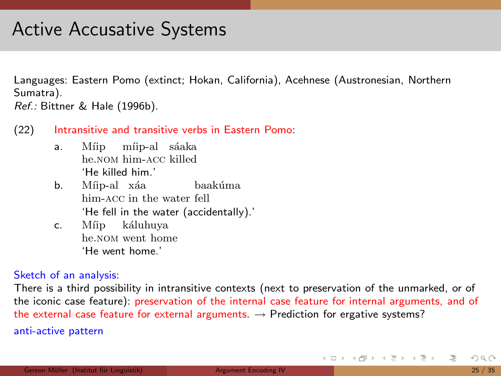### Active Accusative Systems

Languages: Eastern Pomo (extinct; Hokan, California), Acehnese (Austronesian, Northern Sumatra).

Ref.: Bittner & Hale (1996b).

- (22) Intransitive and transitive verbs in Eastern Pomo:
	- a. Míip míip-al sáaka he.nom him-acc killed 'He killed him.'
	- b. Míip-al xáa him-acc in the water fell baakúma 'He fell in the water (accidentally).'
	- c. Míip káluhuya he.nom went home 'He went home.'

#### Sketch of an analysis:

There is a third possibility in intransitive contexts (next to preservation of the unmarked, or of the iconic case feature): preservation of the internal case feature for internal arguments, and of the external case feature for external arguments.  $\rightarrow$  Prediction for ergative systems? anti-active pattern

 $OQ$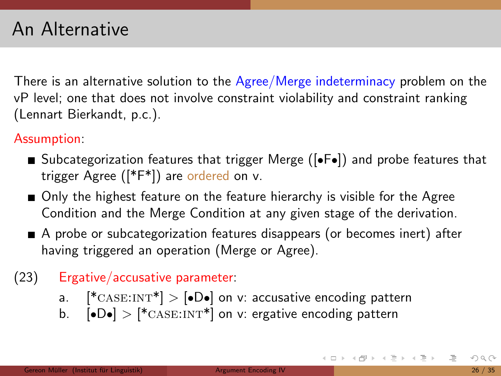There is an alternative solution to the Agree/Merge indeterminacy problem on the vP level; one that does not involve constraint violability and constraint ranking (Lennart Bierkandt, p.c.).

### Assumption:

- Subcategorization features that trigger Merge ( $\bullet$ F $\bullet$ ) and probe features that trigger Agree ([\*F\*]) are ordered on v.
- Only the highest feature on the feature hierarchy is visible for the Agree Condition and the Merge Condition at any given stage of the derivation.
- A probe or subcategorization features disappears (or becomes inert) after having triggered an operation (Merge or Agree).

### (23) Ergative/accusative parameter:

- a.  $[^* \text{CASE:INT*}] > [• \text{De}]$  on v: accusative encoding pattern
- b.  $\left[ \bullet \mathsf{D} \bullet \right]$  >  $\left[ \ast \text{CASE:INT} \ast \right]$  on v: ergative encoding pattern

K ロ > K (ラ > K ミ > K ミ > H ミ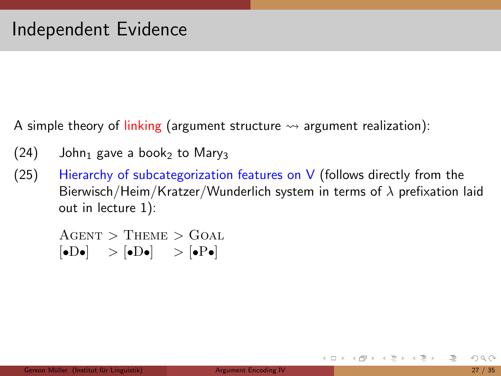A simple theory of linking (argument structure  $\rightsquigarrow$  argument realization):

- $(24)$  John<sub>1</sub> gave a book<sub>2</sub> to Mary<sub>3</sub>
- $(25)$  Hierarchy of subcategorization features on V (follows directly from the Bierwisch/Heim/Kratzer/Wunderlich system in terms of  $\lambda$  prefixation laid out in lecture 1):

 $A$ GENT > THEME > GOAL  $\lbrack \bullet D \bullet \rbrack \quad > \lbrack \bullet D \bullet \rbrack \quad > \lbrack \bullet P \bullet \rbrack$ 

K ロ > K @ > K 경 > K 경 > H 경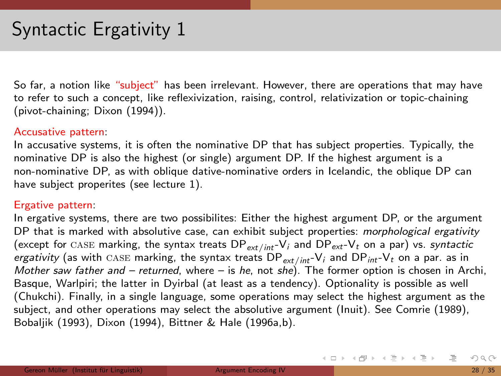So far, a notion like "subject" has been irrelevant. However, there are operations that may have to refer to such a concept, like reflexivization, raising, control, relativization or topic-chaining (pivot-chaining; Dixon (1994)).

#### Accusative pattern:

In accusative systems, it is often the nominative DP that has subject properties. Typically, the nominative DP is also the highest (or single) argument DP. If the highest argument is a non-nominative DP, as with oblique dative-nominative orders in Icelandic, the oblique DP can have subject properites (see lecture 1).

#### Ergative pattern:

In ergative systems, there are two possibilites: Either the highest argument DP, or the argument DP that is marked with absolutive case, can exhibit subject properties: morphological ergativity (except for CASE marking, the syntax treats  $DP_{ext/int}$ -V<sub>i</sub> and  $DP_{ext}-V_t$  on a par) vs. syntactic ergativity (as with CASE marking, the syntax treats  $DP_{ext/int} - V_i$  and  $DP_{int} - V_t$  on a par. as in Mother saw father and  $-$  returned, where  $-$  is he, not she). The former option is chosen in Archi, Basque, Warlpiri; the latter in Dyirbal (at least as a tendency). Optionality is possible as well (Chukchi). Finally, in a single language, some operations may select the highest argument as the subject, and other operations may select the absolutive argument (Inuit). See Comrie (1989), Bobaljik (1993), Dixon (1994), Bittner & Hale (1996a,b).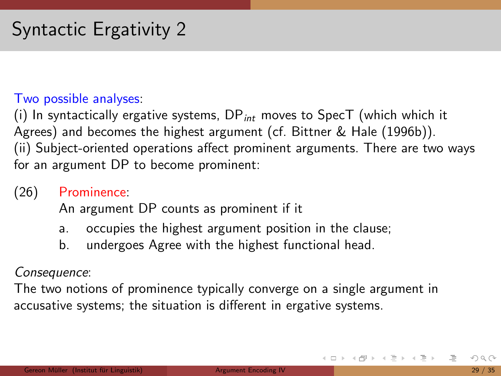### Two possible analyses:

(i) In syntactically ergative systems,  $DP_{int}$  moves to SpecT (which which it Agrees) and becomes the highest argument (cf. Bittner & Hale (1996b)). (ii) Subject-oriented operations affect prominent arguments. There are two ways for an argument DP to become prominent:

### (26) Prominence:

An argument DP counts as prominent if it

- a. occupies the highest argument position in the clause;
- b. undergoes Agree with the highest functional head.

### Consequence:

The two notions of prominence typically converge on a single argument in accusative systems; the situation is different in ergative systems.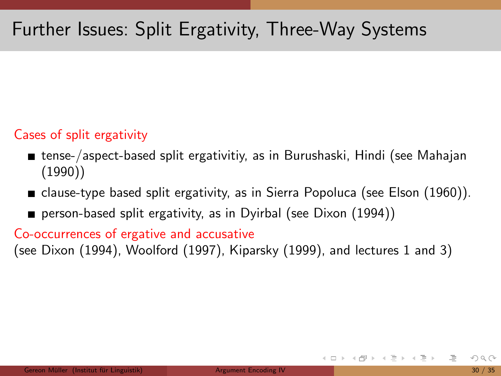### Cases of split ergativity

- tense-/aspect-based split ergativitiy, as in Burushaski, Hindi (see Mahajan (1990))
- $\blacksquare$  clause-type based split ergativity, as in Sierra Popoluca (see Elson (1960)).
- **person-based split ergativity, as in Dyirbal (see Dixon (1994))**

Co-occurrences of ergative and accusative

(see Dixon (1994), Woolford (1997), Kiparsky (1999), and lectures 1 and 3)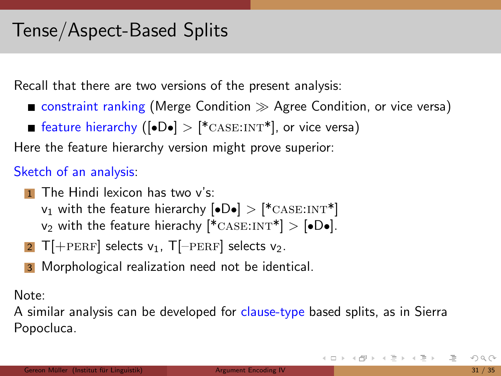Recall that there are two versions of the present analysis:

- $\blacksquare$  constraint ranking (Merge Condition  $\gg$  Agree Condition, or vice versa)
- **F** feature hierarchy ( $\left| \bullet \mathsf{D} \bullet \right| > \left| {^{*}}_{\text{CASE:INT}} \ast \right|$ , or vice versa)

Here the feature hierarchy version might prove superior:

### Sketch of an analysis:

- $\Box$  The Hindi lexicon has two v's:  $v_1$  with the feature hierarchy  $\text{[•D•]} > \text{[*CASE:INT*]}$ v<sub>2</sub> with the feature hierachy  $[{}^*{\text{CASE:INT}}^*] > [\bullet \text{D} \bullet]$ .
- 2 T[+PERF] selects  $v_1$ , T[-PERF] selects  $v_2$ .
- **3** Morphological realization need not be identical.

Note:

A similar analysis can be developed for clause-type based splits, as in Sierra Popocluca.

K ロ > H @ > H 공 > H 공 > H 공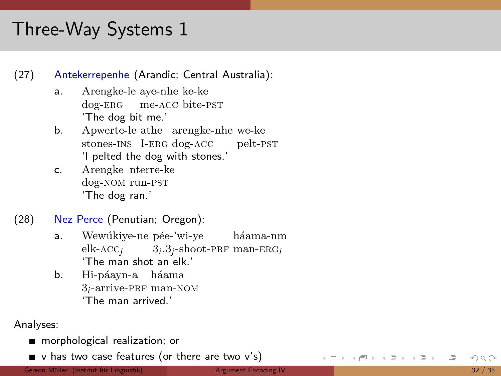# Three-W a y Systems 1

(27) Antekerrepenhe (Arandic; Central Australia): a. Arengke-le aye-nhe ke-k e dog-ERG me-ACC bite-PST 'The dog bit me.' b. Ap werte-le athe arengke-nhe we-k e stones-INS I-ERG dog-ACC pelt-PST 'I pelted the dog with stones.' c. Arengk e nterre-k e dog-nom run-pst 'The dog ran.'

- (28) Nez Perce (Penutian; Oregon): a.
	- Wewúkiye-ne pée-'wi-ye háama-nm elk- $ACC_j$   $3_i.3_j$ -shoot-PRF man-ERG<sub>i</sub> 'The man shot an elk.'
	- b. Hi-páayn-a háama 3<sub>i</sub>-arrive-PRF man-NOM 'The man arrived.'

Analyses:

morphological realization; o r

v has t w o case features (o r there are t w o v's)

Gereon Müller (Institut für Linguistik

 $OQ$ 32 / 35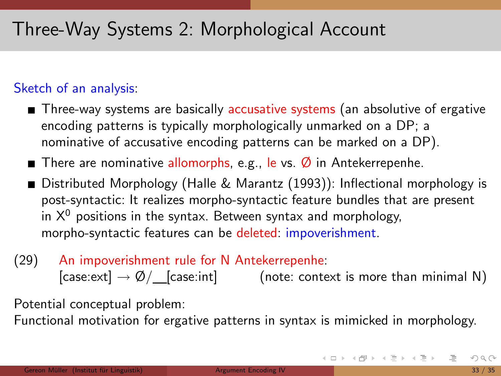# Three-Way Systems 2: Morphological Account

### Sketch of an analysis:

- Three-way systems are basically accusative systems (an absolutive of ergative encoding patterns is typically morphologically unmarked on a DP; a nominative of accusative encoding patterns can be marked on a DP).
- There are nominative allomorphs, e.g., le vs.  $\emptyset$  in Antekerrepenhe.
- Distributed Morphology (Halle & Marantz (1993)): Inflectional morphology is post-syntactic: It realizes morpho-syntactic feature bundles that are present in  $X^0$  positions in the syntax. Between syntax and morphology, morpho-syntactic features can be deleted: impoverishment.
- (29) An impoverishment rule for N Antekerrepenhe:  $[case:ext] \rightarrow \emptyset/$  [case:int] (note: context is more than minimal N)

Potential conceptual problem:

Functional motivation for ergative patterns in syntax is mimicked in morphology.

K ロ > K 레 > K 코 > K 코 > → 코 → 9 Q Q\*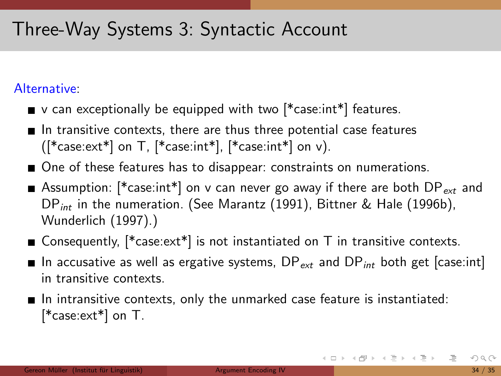# Three-Way Systems 3: Syntactic Account

### Alternative:

- $\blacksquare$  v can exceptionally be equipped with two  $[{}^*$ case:int ${}^*]$  features.
- In transitive contexts, there are thus three potential case features  $([*case:ext*]$  on T,  $[*case:int*]$ ,  $[*case:int*]$  on v).
- One of these features has to disappear: constraints on numerations.
- Assumption: [ $*$ case:int $*$ ] on v can never go away if there are both  $DP_{ext}$  and DP<sub>int</sub> in the numeration. (See Marantz (1991), Bittner & Hale (1996b), Wunderlich (1997).)
- **E** Consequently,  $[^* \text{case:} \text{ext}^*]$  is not instantiated on T in transitive contexts.
- In accusative as well as ergative systems,  $DP_{ext}$  and  $DP_{int}$  both get [case:int] in transitive contexts.
- $\blacksquare$  In intransitive contexts, only the unmarked case feature is instantiated: [\*case:ext\*] on T.

<span id="page-37-0"></span>K ロ > K (ラ > K ミ > K ミ > … ミ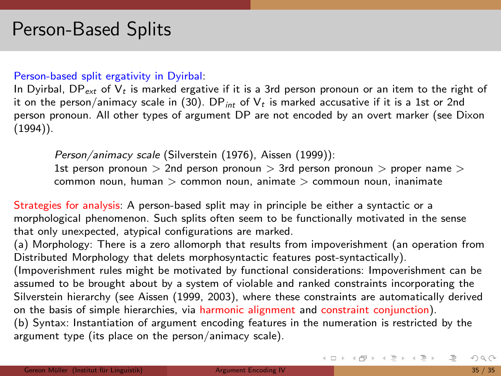#### Person-based split ergativity in Dyirbal:

In Dyirbal, DP<sub>ext</sub> of  $V_t$  is marked ergative if it is a 3rd person pronoun or an item to the right of it on the person/animacy scale in (30). DP<sub>int</sub> of  $V_t$  is marked accusative if it is a 1st or 2nd person pronoun. All other types of argument DP are not encoded by an overt marker (see Dixon (1994)).

Person/animacy scale (Silverstein (1976), Aissen (1999)): 1st person pronoun  $> 2$ nd person pronoun  $> 3$ rd person pronoun  $>$  proper name  $>$ common noun, human  $>$  common noun, animate  $>$  commoun noun, inanimate

Strategies for analysis: A person-based split may in principle be either a syntactic or a morphological phenomenon. Such splits often seem to be functionally motivated in the sense that only unexpected, atypical configurations are marked.

(a) Morphology: There is a zero allomorph that results from impoverishment (an operation from Distributed Morphology that delets morphosyntactic features post-syntactically).

<span id="page-38-0"></span>(Impoverishment rules might be motivated by functional considerations: Impoverishment can be assumed to be brought about by a system of violable and ranked constraints incorporating the Silverstein hierarchy (see Aissen (1999, 2003), where these constraints are automatically derived on the basis of simple hierarchies, via harmonic alignment and constraint conjunction). (b) Syntax: Instantiation of argument encoding features in the numeration is restricted by the argument type (its place on the person/animacy scale).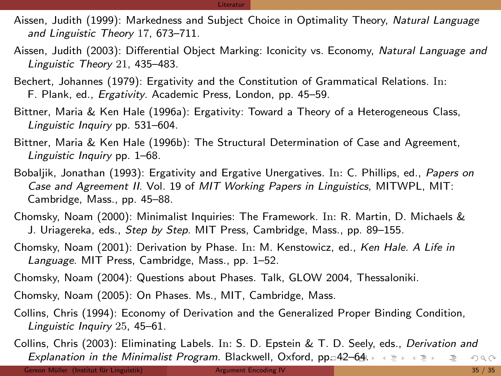#### Literatur

- Aissen, Judith (1999): Markedness and Subject Choice in Optimality Theory, Natural Language and Linguistic Theory 17, 673–711.
- Aissen, Judith (2003): Differential Object Marking: Iconicity vs. Economy, Natural Language and Linguistic Theory 21, 435–483.
- Bechert, Johannes (1979): Ergativity and the Constitution of Grammatical Relations. In: F. Plank, ed., Ergativity. Academic Press, London, pp. 45–59.
- Bittner, Maria & Ken Hale (1996a): Ergativity: Toward a Theory of a Heterogeneous Class, Linguistic Inquiry pp. 531–604.
- Bittner, Maria & Ken Hale (1996b): The Structural Determination of Case and Agreement, Linguistic Inquiry pp. 1–68.
- Bobaljik, Jonathan (1993): Ergativity and Ergative Unergatives. In: C. Phillips, ed., Papers on Case and Agreement II. Vol. 19 of MIT Working Papers in Linguistics, MITWPL, MIT: Cambridge, Mass., pp. 45–88.
- Chomsky, Noam (2000): Minimalist Inquiries: The Framework. In: R. Martin, D. Michaels & J. Uriagereka, eds., Step by Step. MIT Press, Cambridge, Mass., pp. 89–155.
- Chomsky, Noam (2001): Derivation by Phase. In: M. Kenstowicz, ed., Ken Hale. A Life in Language. MIT Press, Cambridge, Mass., pp. 1–52.
- Chomsky, Noam (2004): Questions about Phases. Talk, GLOW 2004, Thessaloniki.
- Chomsky, Noam (2005): On Phases. Ms., MIT, Cambridge, Mass.
- Collins, Chris (1994): Economy of Derivation and the Generalized Proper Binding Condition, Linguistic Inquiry 25, 45–61.
- <span id="page-39-0"></span>Collins, Chris (2003): Eliminating Labels. In: S. D. Epstein & T. D. Seely, eds., Derivation and Explanation in the Minimalist Program. Blackwell, Oxford, pp $\Box$ [42](#page-40-0)[–](#page-37-0)[64.](#page-38-0)  $\rightarrow \Box \rightarrow \Box \Box$  $OQ$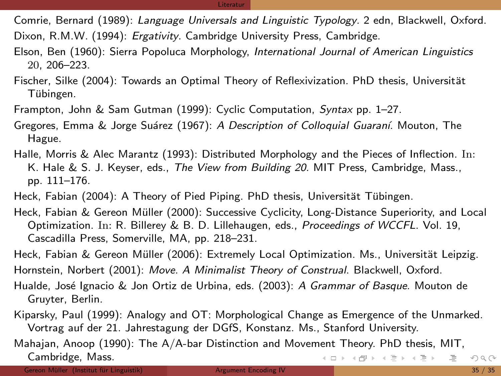#### Literatur

Comrie, Bernard (1989): Language Universals and Linguistic Typology. 2 edn, Blackwell, Oxford. Dixon, R.M.W. (1994): *Ergativity*. Cambridge University Press, Cambridge.

- Elson, Ben (1960): Sierra Popoluca Morphology, International Journal of American Linguistics 20, 206–223.
- Fischer, Silke (2004): Towards an Optimal Theory of Reflexivization. PhD thesis, Universität Tübingen.
- Frampton, John & Sam Gutman (1999): Cyclic Computation, Syntax pp. 1–27.
- Gregores, Emma & Jorge Suárez (1967): A Description of Colloquial Guaraní. Mouton, The Hague.
- Halle, Morris & Alec Marantz (1993): Distributed Morphology and the Pieces of Inflection. In: K. Hale & S. J. Keyser, eds., The View from Building 20. MIT Press, Cambridge, Mass., pp. 111–176.
- Heck, Fabian (2004): A Theory of Pied Piping. PhD thesis, Universität Tübingen.
- Heck, Fabian & Gereon Müller (2000): Successive Cyclicity, Long-Distance Superiority, and Local Optimization. In: R. Billerey & B. D. Lillehaugen, eds., Proceedings of WCCFL. Vol. 19, Cascadilla Press, Somerville, MA, pp. 218–231.
- Heck, Fabian & Gereon Müller (2006): Extremely Local Optimization. Ms., Universität Leipzig. Hornstein, Norbert (2001): Move. A Minimalist Theory of Construal. Blackwell, Oxford.
- Hualde, José Ignacio & Jon Ortiz de Urbina, eds. (2003): A Grammar of Basque. Mouton de Gruyter, Berlin.
- Kiparsky, Paul (1999): Analogy and OT: Morphological Change as Emergence of the Unmarked. Vortrag auf der 21. Jahrestagung der DGfS, Konstanz. Ms., Stanford University.
- <span id="page-40-0"></span>Mahajan, Anoop (1990): The A/A-bar Distinction and Movement Theory. PhD thesis, MIT, Cambridge, Mass. K ロ > K @ > K 경 > K 경 > 시 경 +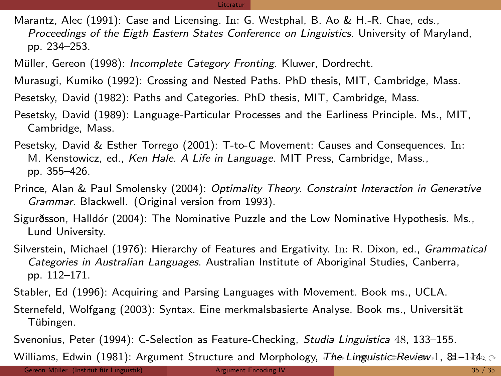#### Literatur

Marantz, Alec (1991): Case and Licensing. In: G. Westphal, B. Ao & H.-R. Chae, eds., Proceedings of the Eigth Eastern States Conference on Linguistics. University of Maryland, pp. 234–253.

Müller, Gereon (1998): Incomplete Category Fronting. Kluwer, Dordrecht.

Murasugi, Kumiko (1992): Crossing and Nested Paths. PhD thesis, MIT, Cambridge, Mass.

Pesetsky, David (1982): Paths and Categories. PhD thesis, MIT, Cambridge, Mass.

Pesetsky, David (1989): Language-Particular Processes and the Earliness Principle. Ms., MIT, Cambridge, Mass.

Pesetsky, David & Esther Torrego (2001): T-to-C Movement: Causes and Consequences. In: M. Kenstowicz, ed., Ken Hale. A Life in Language. MIT Press, Cambridge, Mass., pp. 355–426.

Prince, Alan & Paul Smolensky (2004): Optimality Theory. Constraint Interaction in Generative Grammar. Blackwell. (Original version from 1993).

Sigurðsson, Halldór (2004): The Nominative Puzzle and the Low Nominative Hypothesis. Ms., Lund University.

Silverstein, Michael (1976): Hierarchy of Features and Ergativity. In: R. Dixon, ed., Grammatical Categories in Australian Languages. Australian Institute of Aboriginal Studies, Canberra, pp. 112–171.

Stabler, Ed (1996): Acquiring and Parsing Languages with Movement. Book ms., UCLA.

Sternefeld, Wolfgang (2003): Syntax. Eine merkmalsbasierte Analyse. Book ms., Universität Tübingen.

Svenonius, Peter (1994): C-Selection as Feature-Checking, Studia Linguistica 48, 133-155.

Williams, Edwin (1981): Argument Structure and Morphology, [T](#page-40-0)he [L](#page-42-0)[i](#page-37-0)[ngu](#page-38-0)[is](#page-39-0)[tic](#page-0-0) [Re](#page-42-0)[vie](#page-0-0)[w](#page-42-0) [1](#page-42-0), [8](#page-0-0)1-114.  $\sim$